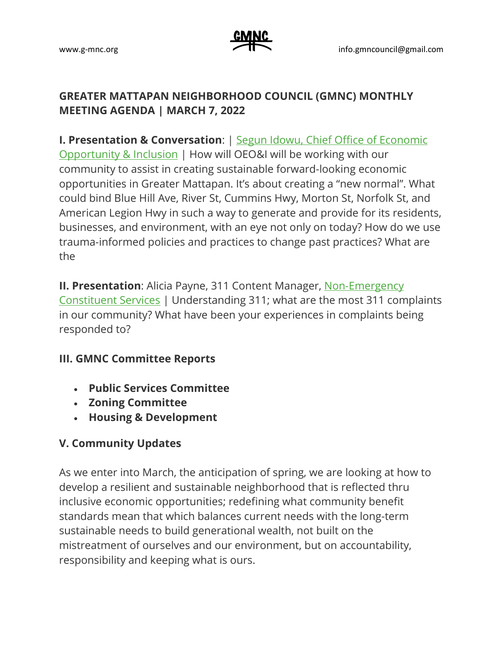## **GREATER MATTAPAN NEIGHBORHOOD COUNCIL (GMNC) MONTHLY MEETING AGENDA | MARCH 7, 2022**

**I. Presentation & Conversation**: | [Segun Idowu, Chief Office of Economic](https://www.boston.gov/departments/economic-opportunity-and-inclusion/segun-idowu)  [Opportunity & Inclusion](https://www.boston.gov/departments/economic-opportunity-and-inclusion/segun-idowu) | How will OEO&I will be working with our community to assist in creating sustainable forward-looking economic opportunities in Greater Mattapan. It's about creating a "new normal". What could bind Blue Hill Ave, River St, Cummins Hwy, Morton St, Norfolk St, and American Legion Hwy in such a way to generate and provide for its residents, businesses, and environment, with an eye not only on today? How do we use trauma-informed policies and practices to change past practices? What are the

**II. Presentation**: Alicia Payne, 311 Content Manager, [Non-Emergency](https://www.boston.gov/departments/bos311)  [Constituent Services](https://www.boston.gov/departments/bos311) | Understanding 311; what are the most 311 complaints in our community? What have been your experiences in complaints being responded to?

## **III. GMNC Committee Reports**

- **Public Services Committee**
- **Zoning Committee**
- **Housing & Development**

## **V. Community Updates**

As we enter into March, the anticipation of spring, we are looking at how to develop a resilient and sustainable neighborhood that is reflected thru inclusive economic opportunities; redefining what community benefit standards mean that which balances current needs with the long-term sustainable needs to build generational wealth, not built on the mistreatment of ourselves and our environment, but on accountability, responsibility and keeping what is ours.